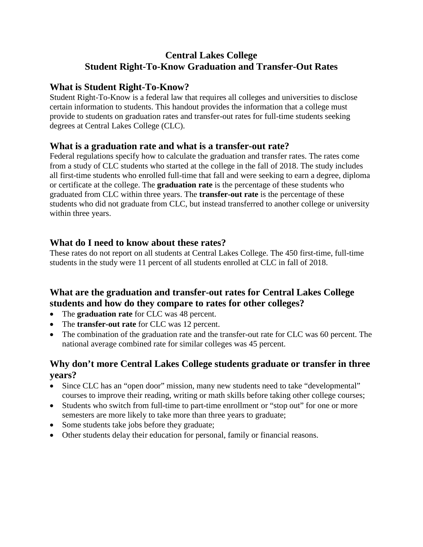## **Central Lakes College Student Right-To-Know Graduation and Transfer-Out Rates**

#### **What is Student Right-To-Know?**

Student Right-To-Know is a federal law that requires all colleges and universities to disclose certain information to students. This handout provides the information that a college must provide to students on graduation rates and transfer-out rates for full-time students seeking degrees at Central Lakes College (CLC).

#### **What is a graduation rate and what is a transfer-out rate?**

Federal regulations specify how to calculate the graduation and transfer rates. The rates come from a study of CLC students who started at the college in the fall of 2018. The study includes all first-time students who enrolled full-time that fall and were seeking to earn a degree, diploma or certificate at the college. The **graduation rate** is the percentage of these students who graduated from CLC within three years. The **transfer-out rate** is the percentage of these students who did not graduate from CLC, but instead transferred to another college or university within three years.

### **What do I need to know about these rates?**

These rates do not report on all students at Central Lakes College. The 450 first-time, full-time students in the study were 11 percent of all students enrolled at CLC in fall of 2018.

# **What are the graduation and transfer-out rates for Central Lakes College students and how do they compare to rates for other colleges?**

- The **graduation rate** for CLC was 48 percent.
- The **transfer-out rate** for CLC was 12 percent.
- The combination of the graduation rate and the transfer-out rate for CLC was 60 percent. The national average combined rate for similar colleges was 45 percent.

## **Why don't more Central Lakes College students graduate or transfer in three years?**

- Since CLC has an "open door" mission, many new students need to take "developmental" courses to improve their reading, writing or math skills before taking other college courses;
- Students who switch from full-time to part-time enrollment or "stop out" for one or more semesters are more likely to take more than three years to graduate;
- Some students take jobs before they graduate;
- Other students delay their education for personal, family or financial reasons.